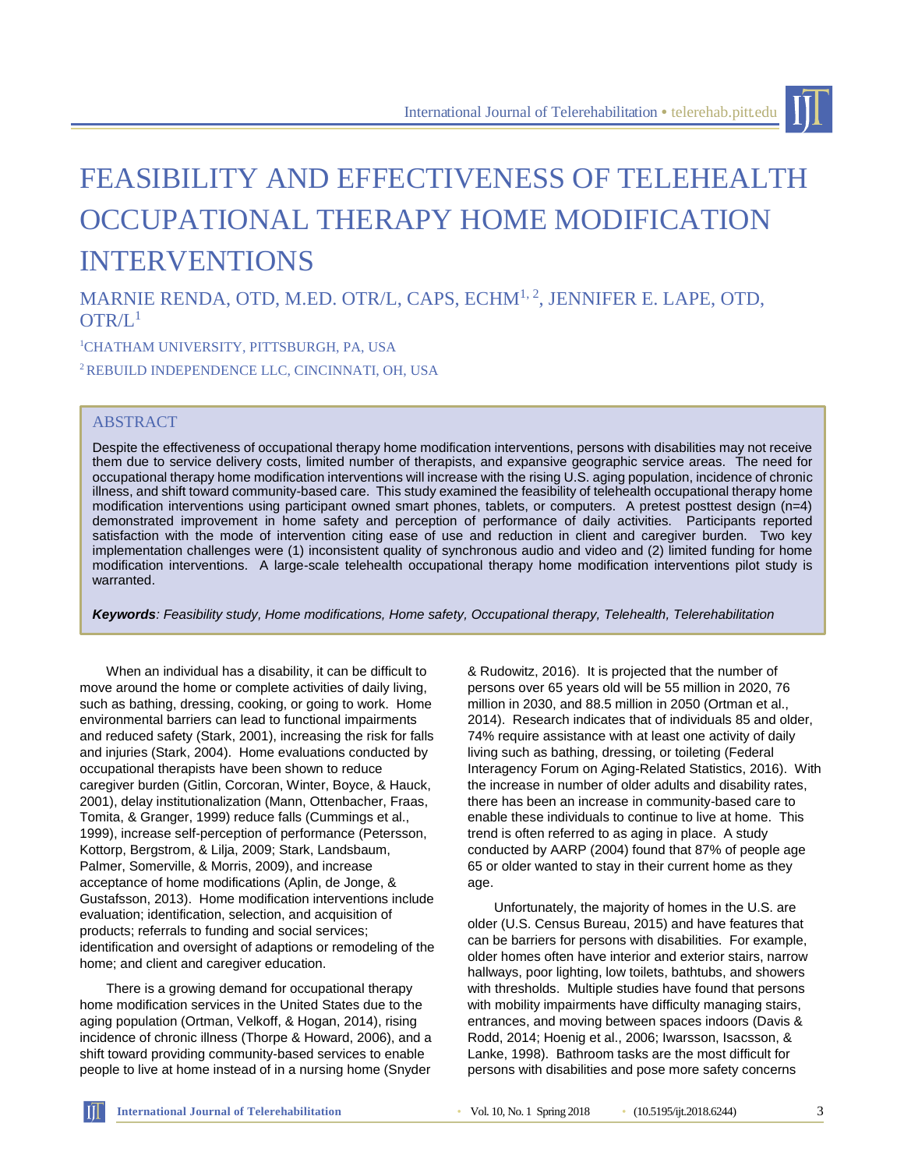

# FEASIBILITY AND EFFECTIVENESS OF TELEHEALTH OCCUPATIONAL THERAPY HOME MODIFICATION **INTERVENTIONS**

MARNIE RENDA, OTD, M.ED. OTR/L, CAPS, ECHM<sup>1, 2</sup>, JENNIFER E. LAPE, OTD,  $\text{OTR}/L^1$ 

<sup>1</sup>CHATHAM UNIVERSITY, PITTSBURGH, PA, USA

<sup>2</sup>REBUILD INDEPENDENCE LLC, CINCINNATI, OH, USA

### **ABSTRACT**

Despite the effectiveness of occupational therapy home modification interventions, persons with disabilities may not receive them due to service delivery costs, limited number of therapists, and expansive geographic service areas. The need for occupational therapy home modification interventions will increase with the rising U.S. aging population, incidence of chronic illness, and shift toward community-based care. This study examined the feasibility of telehealth occupational therapy home modification interventions using participant owned smart phones, tablets, or computers. A pretest posttest design (n=4) demonstrated improvement in home safety and perception of performance of daily activities. Participants reported satisfaction with the mode of intervention citing ease of use and reduction in client and caregiver burden. Two key implementation challenges were (1) inconsistent quality of synchronous audio and video and (2) limited funding for home modification interventions. A large-scale telehealth occupational therapy home modification interventions pilot study is warranted.

*Keywords: Feasibility study, Home modifications, Home safety, Occupational therapy, Telehealth, Telerehabilitation*

When an individual has a disability, it can be difficult to move around the home or complete activities of daily living, such as bathing, dressing, cooking, or going to work. Home environmental barriers can lead to functional impairments and reduced safety (Stark, 2001), increasing the risk for falls and injuries (Stark, 2004). Home evaluations conducted by occupational therapists have been shown to reduce caregiver burden (Gitlin, Corcoran, Winter, Boyce, & Hauck, 2001), delay institutionalization (Mann, Ottenbacher, Fraas, Tomita, & Granger, 1999) reduce falls (Cummings et al., 1999), increase self-perception of performance (Petersson, Kottorp, Bergstrom, & Lilja, 2009; Stark, Landsbaum, Palmer, Somerville, & Morris, 2009), and increase acceptance of home modifications (Aplin, de Jonge, & Gustafsson, 2013). Home modification interventions include evaluation; identification, selection, and acquisition of products; referrals to funding and social services; identification and oversight of adaptions or remodeling of the home; and client and caregiver education.

There is a growing demand for occupational therapy home modification services in the United States due to the aging population (Ortman, Velkoff, & Hogan, 2014), rising incidence of chronic illness (Thorpe & Howard, 2006), and a shift toward providing community-based services to enable people to live at home instead of in a nursing home (Snyder & Rudowitz, 2016). It is projected that the number of persons over 65 years old will be 55 million in 2020, 76 million in 2030, and 88.5 million in 2050 (Ortman et al., 2014). Research indicates that of individuals 85 and older, 74% require assistance with at least one activity of daily living such as bathing, dressing, or toileting (Federal Interagency Forum on Aging-Related Statistics, 2016). With the increase in number of older adults and disability rates, there has been an increase in community-based care to enable these individuals to continue to live at home. This trend is often referred to as aging in place. A study conducted by AARP (2004) found that 87% of people age 65 or older wanted to stay in their current home as they age.

Unfortunately, the majority of homes in the U.S. are older (U.S. Census Bureau, 2015) and have features that can be barriers for persons with disabilities. For example, older homes often have interior and exterior stairs, narrow hallways, poor lighting, low toilets, bathtubs, and showers with thresholds. Multiple studies have found that persons with mobility impairments have difficulty managing stairs, entrances, and moving between spaces indoors (Davis & Rodd, 2014; Hoenig et al., 2006; Iwarsson, Isacsson, & Lanke, 1998). Bathroom tasks are the most difficult for persons with disabilities and pose more safety concerns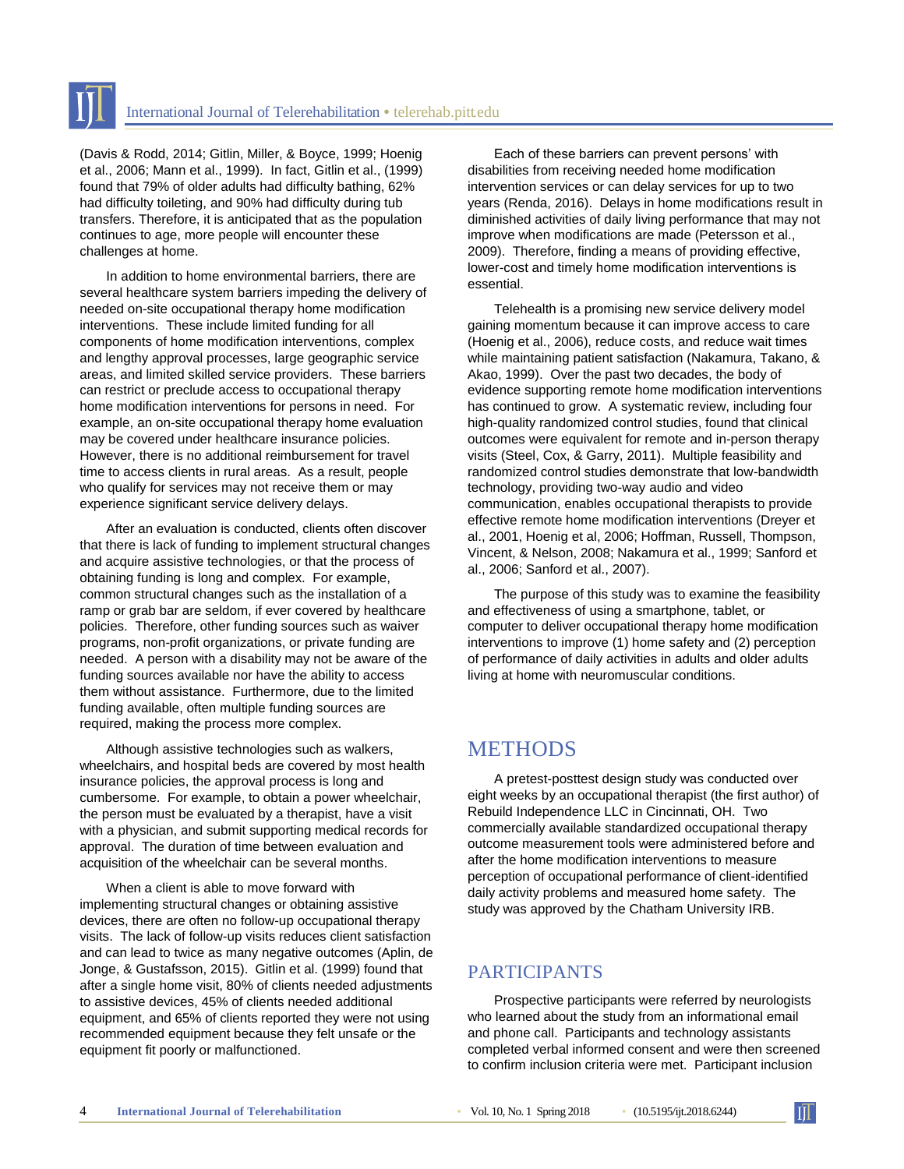(Davis & Rodd, 2014; Gitlin, Miller, & Boyce, 1999; Hoenig et al., 2006; Mann et al., 1999). In fact, Gitlin et al., (1999) found that 79% of older adults had difficulty bathing, 62% had difficulty toileting, and 90% had difficulty during tub transfers. Therefore, it is anticipated that as the population continues to age, more people will encounter these challenges at home.

In addition to home environmental barriers, there are several healthcare system barriers impeding the delivery of needed on-site occupational therapy home modification interventions. These include limited funding for all components of home modification interventions, complex and lengthy approval processes, large geographic service areas, and limited skilled service providers. These barriers can restrict or preclude access to occupational therapy home modification interventions for persons in need. For example, an on-site occupational therapy home evaluation may be covered under healthcare insurance policies. However, there is no additional reimbursement for travel time to access clients in rural areas. As a result, people who qualify for services may not receive them or may experience significant service delivery delays.

After an evaluation is conducted, clients often discover that there is lack of funding to implement structural changes and acquire assistive technologies, or that the process of obtaining funding is long and complex. For example, common structural changes such as the installation of a ramp or grab bar are seldom, if ever covered by healthcare policies. Therefore, other funding sources such as waiver programs, non-profit organizations, or private funding are needed. A person with a disability may not be aware of the funding sources available nor have the ability to access them without assistance. Furthermore, due to the limited funding available, often multiple funding sources are required, making the process more complex.

Although assistive technologies such as walkers, wheelchairs, and hospital beds are covered by most health insurance policies, the approval process is long and cumbersome. For example, to obtain a power wheelchair, the person must be evaluated by a therapist, have a visit with a physician, and submit supporting medical records for approval. The duration of time between evaluation and acquisition of the wheelchair can be several months.

When a client is able to move forward with implementing structural changes or obtaining assistive devices, there are often no follow-up occupational therapy visits. The lack of follow-up visits reduces client satisfaction and can lead to twice as many negative outcomes (Aplin, de Jonge, & Gustafsson, 2015). Gitlin et al. (1999) found that after a single home visit, 80% of clients needed adjustments to assistive devices, 45% of clients needed additional equipment, and 65% of clients reported they were not using recommended equipment because they felt unsafe or the equipment fit poorly or malfunctioned.

Each of these barriers can prevent persons' with disabilities from receiving needed home modification intervention services or can delay services for up to two years (Renda, 2016). Delays in home modifications result in diminished activities of daily living performance that may not improve when modifications are made (Petersson et al., 2009). Therefore, finding a means of providing effective, lower-cost and timely home modification interventions is essential.

Telehealth is a promising new service delivery model gaining momentum because it can improve access to care (Hoenig et al., 2006), reduce costs, and reduce wait times while maintaining patient satisfaction (Nakamura, Takano, & Akao, 1999). Over the past two decades, the body of evidence supporting remote home modification interventions has continued to grow. A systematic review, including four high-quality randomized control studies, found that clinical outcomes were equivalent for remote and in-person therapy visits (Steel, Cox, & Garry, 2011). Multiple feasibility and randomized control studies demonstrate that low-bandwidth technology, providing two-way audio and video communication, enables occupational therapists to provide effective remote home modification interventions (Dreyer et al., 2001, Hoenig et al, 2006; Hoffman, Russell, Thompson, Vincent, & Nelson, 2008; Nakamura et al., 1999; Sanford et al., 2006; Sanford et al., 2007).

The purpose of this study was to examine the feasibility and effectiveness of using a smartphone, tablet, or computer to deliver occupational therapy home modification interventions to improve (1) home safety and (2) perception of performance of daily activities in adults and older adults living at home with neuromuscular conditions.

# **METHODS**

A pretest-posttest design study was conducted over eight weeks by an occupational therapist (the first author) of Rebuild Independence LLC in Cincinnati, OH. Two commercially available standardized occupational therapy outcome measurement tools were administered before and after the home modification interventions to measure perception of occupational performance of client-identified daily activity problems and measured home safety. The study was approved by the Chatham University IRB.

### PARTICIPANTS

Prospective participants were referred by neurologists who learned about the study from an informational email and phone call. Participants and technology assistants completed verbal informed consent and were then screened to confirm inclusion criteria were met. Participant inclusion

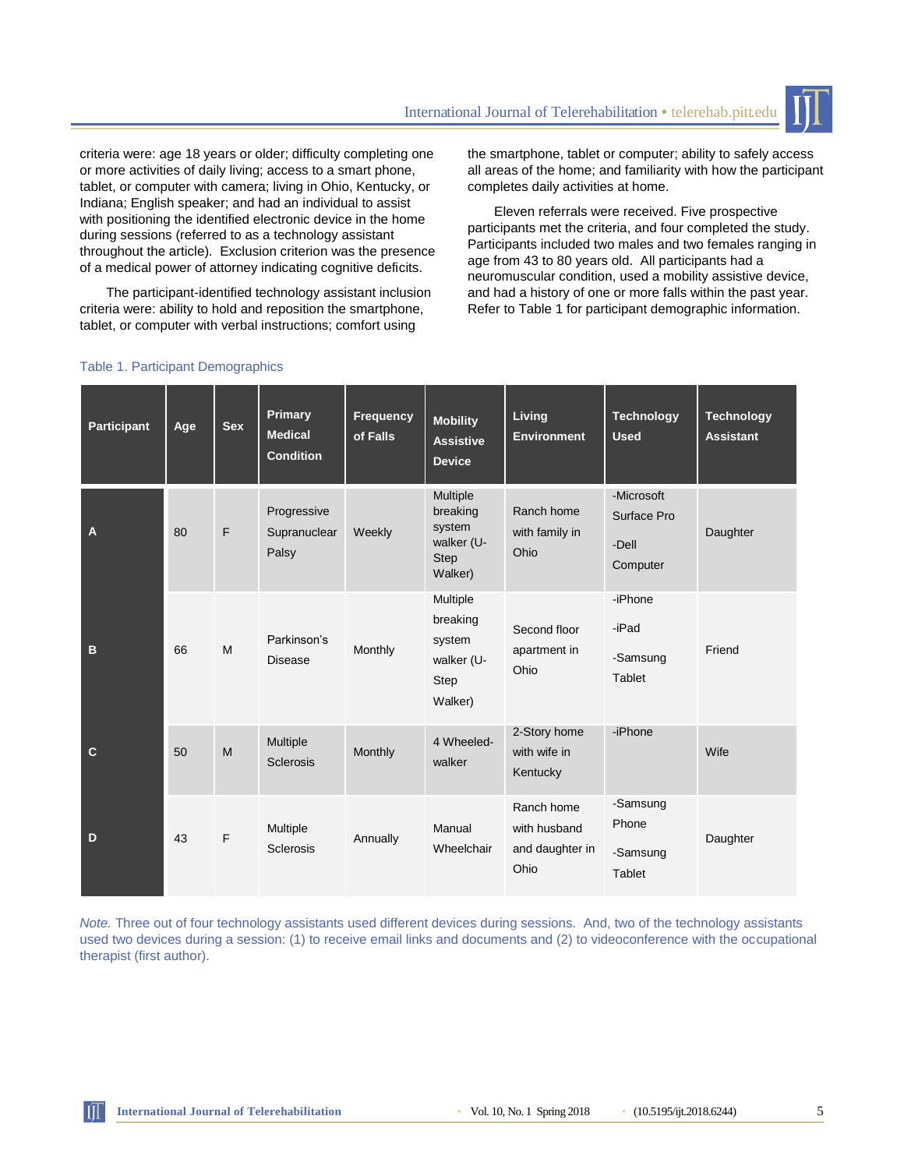criteria were: age 18 years or older; difficulty completing one or more activities of daily living; access to a smart phone, tablet, or computer with camera; living in Ohio, Kentucky, or Indiana; English speaker; and had an individual to assist with positioning the identified electronic device in the home during sessions (referred to as a technology assistant throughout the article). Exclusion criterion was the presence of a medical power of attorney indicating cognitive deficits.

The participant-identified technology assistant inclusion criteria were: ability to hold and reposition the smartphone, tablet, or computer with verbal instructions; comfort using

the smartphone, tablet or computer; ability to safely access all areas of the home; and familiarity with how the participant completes daily activities at home.

Eleven referrals were received. Five prospective participants met the criteria, and four completed the study. Participants included two males and two females ranging in age from 43 to 80 years old. All participants had a neuromuscular condition, used a mobility assistive device, and had a history of one or more falls within the past year. Refer to Table 1 for participant demographic information.

| Participant  | Age | <b>Sex</b>  | <b>Primary</b><br><b>Medical</b><br><b>Condition</b> | <b>Frequency</b><br>of Falls | <b>Mobility</b><br><b>Assistive</b><br><b>Device</b>                   | Living<br><b>Environment</b>                          | <b>Technology</b><br><b>Used</b>               | <b>Technology</b><br><b>Assistant</b> |
|--------------|-----|-------------|------------------------------------------------------|------------------------------|------------------------------------------------------------------------|-------------------------------------------------------|------------------------------------------------|---------------------------------------|
| $\mathbf{A}$ | 80  | $\mathsf F$ | Progressive<br>Supranuclear<br>Palsy                 | Weekly                       | Multiple<br>breaking<br>system<br>walker (U-<br><b>Step</b><br>Walker) | Ranch home<br>with family in<br>Ohio                  | -Microsoft<br>Surface Pro<br>-Dell<br>Computer | Daughter                              |
| B            | 66  | M           | Parkinson's<br><b>Disease</b>                        | Monthly                      | Multiple<br>breaking<br>system<br>walker (U-<br>Step<br>Walker)        | Second floor<br>apartment in<br>Ohio                  | -iPhone<br>-iPad<br>-Samsung<br>Tablet         | Friend                                |
| $\mathbf c$  | 50  | M           | Multiple<br><b>Sclerosis</b>                         | Monthly                      | 4 Wheeled-<br>walker                                                   | 2-Story home<br>with wife in<br>Kentucky              | -iPhone                                        | Wife                                  |
| D            | 43  | F           | Multiple<br><b>Sclerosis</b>                         | Annually                     | Manual<br>Wheelchair                                                   | Ranch home<br>with husband<br>and daughter in<br>Ohio | -Samsung<br>Phone<br>-Samsung<br>Tablet        | Daughter                              |

#### Table 1. Participant Demographics

*Note.* Three out of four technology assistants used different devices during sessions. And, two of the technology assistants used two devices during a session: (1) to receive email links and documents and (2) to videoconference with the occupational therapist (first author).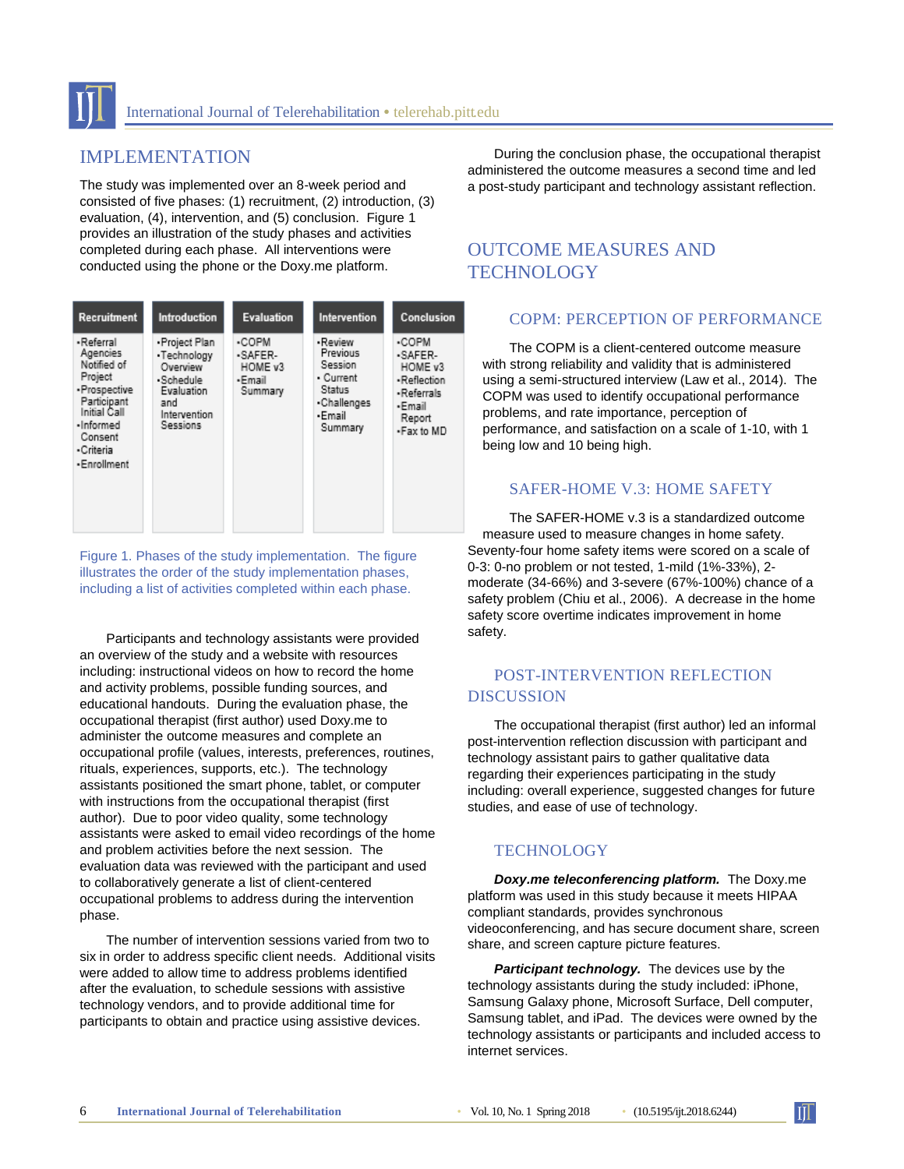

### IMPLEMENTATION

The study was implemented over an 8-week period and consisted of five phases: (1) recruitment, (2) introduction, (3) evaluation, (4), intervention, and (5) conclusion. Figure 1 provides an illustration of the study phases and activities completed during each phase. All interventions were conducted using the phone or the Doxy.me platform.

| <b>Recruitment</b>                                                                                                                                 | Introduction                                                                                             | <b>Evaluation</b>                                           | <b>Intervention</b>                                                                       | Conclusion                                                                                            |
|----------------------------------------------------------------------------------------------------------------------------------------------------|----------------------------------------------------------------------------------------------------------|-------------------------------------------------------------|-------------------------------------------------------------------------------------------|-------------------------------------------------------------------------------------------------------|
| ·Referral<br>Agencies<br>Notified of<br>Project<br>·Prospective<br>Participant<br>Initial Call<br>·Informed<br>Consent<br>-Criteria<br>·Enrollment | - Project Plan<br>· Technology<br>Overview<br>·Schedule<br>Evaluation<br>and<br>Intervention<br>Sessions | -COPM<br>-SAFER-<br>HOME <sub>v3</sub><br>•Email<br>Summary | •Review<br>Previous<br>Session<br>- Current<br>Status<br>-Challenges<br>•Email<br>Summary | -COPM<br>-SAFER-<br>HOME <sub>v3</sub><br>·Reflection<br>·Referrals<br>•Email<br>Report<br>-Fax to MD |

Figure 1. Phases of the study implementation. The figure illustrates the order of the study implementation phases, including a list of activities completed within each phase.

Participants and technology assistants were provided an overview of the study and a website with resources including: instructional videos on how to record the home and activity problems, possible funding sources, and educational handouts. During the evaluation phase, the occupational therapist (first author) used Doxy.me to administer the outcome measures and complete an occupational profile (values, interests, preferences, routines, rituals, experiences, supports, etc.). The technology assistants positioned the smart phone, tablet, or computer with instructions from the occupational therapist (first author). Due to poor video quality, some technology assistants were asked to email video recordings of the home and problem activities before the next session. The evaluation data was reviewed with the participant and used to collaboratively generate a list of client-centered occupational problems to address during the intervention phase.

The number of intervention sessions varied from two to six in order to address specific client needs. Additional visits were added to allow time to address problems identified after the evaluation, to schedule sessions with assistive technology vendors, and to provide additional time for participants to obtain and practice using assistive devices.

During the conclusion phase, the occupational therapist administered the outcome measures a second time and led a post-study participant and technology assistant reflection.

# OUTCOME MEASURES AND TECHNOLOGY

#### COPM: PERCEPTION OF PERFORMANCE

The COPM is a client-centered outcome measure with strong reliability and validity that is administered using a semi-structured interview (Law et al., 2014). The COPM was used to identify occupational performance problems, and rate importance, perception of performance, and satisfaction on a scale of 1-10, with 1 being low and 10 being high.

### SAFER-HOME V.3: HOME SAFETY

The SAFER-HOME v.3 is a standardized outcome measure used to measure changes in home safety. Seventy-four home safety items were scored on a scale of 0-3: 0-no problem or not tested, 1-mild (1%-33%), 2 moderate (34-66%) and 3-severe (67%-100%) chance of a safety problem (Chiu et al., 2006). A decrease in the home safety score overtime indicates improvement in home safety.

### POST-INTERVENTION REFLECTION DISCUSSION

The occupational therapist (first author) led an informal post-intervention reflection discussion with participant and technology assistant pairs to gather qualitative data regarding their experiences participating in the study including: overall experience, suggested changes for future studies, and ease of use of technology.

### TECHNOLOGY

*Doxy.me teleconferencing platform.* The Doxy.me platform was used in this study because it meets HIPAA compliant standards, provides synchronous videoconferencing, and has secure document share, screen share, and screen capture picture features.

*Participant technology.* The devices use by the technology assistants during the study included: iPhone, Samsung Galaxy phone, Microsoft Surface, Dell computer, Samsung tablet, and iPad. The devices were owned by the technology assistants or participants and included access to internet services.

 $\mathbb{H}$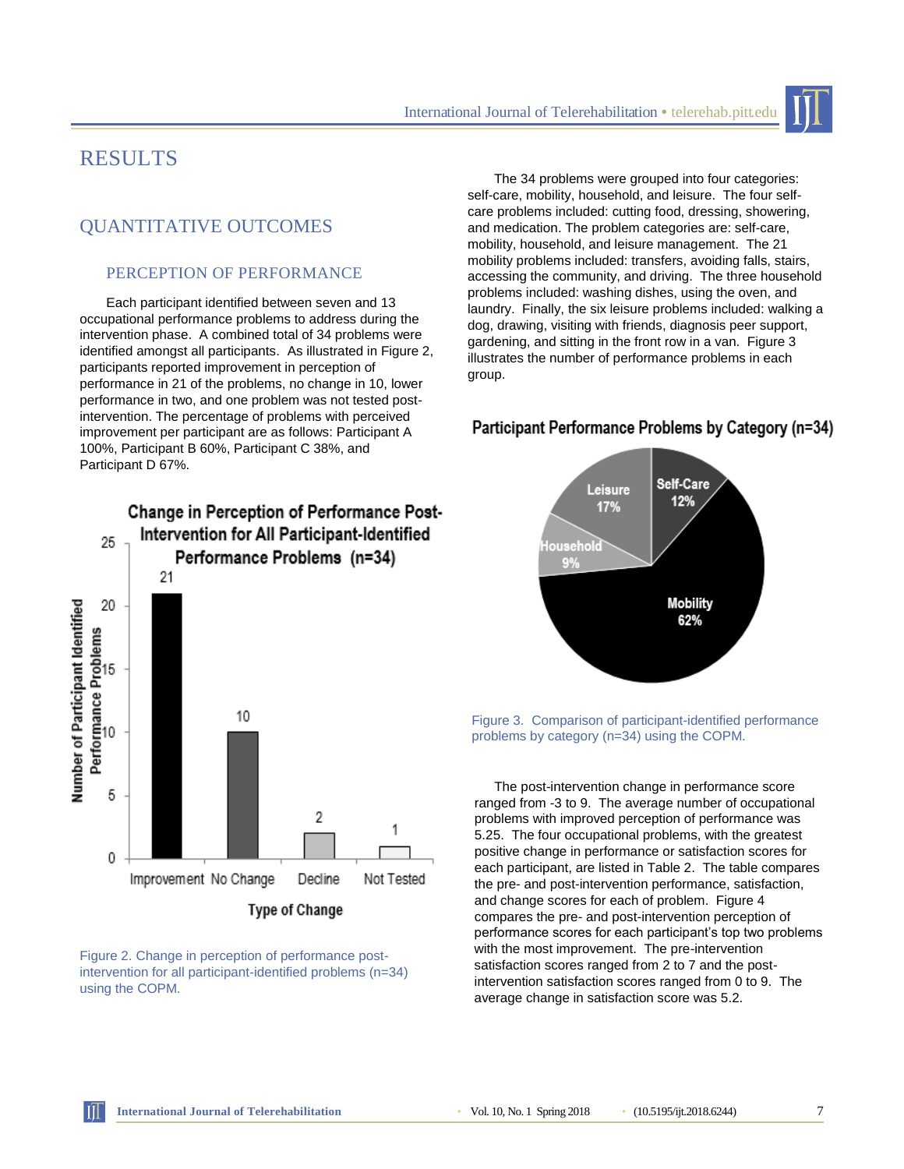# RESULTS

# QUANTITATIVE OUTCOMES

### PERCEPTION OF PERFORMANCE

Each participant identified between seven and 13 occupational performance problems to address during the intervention phase. A combined total of 34 problems were identified amongst all participants. As illustrated in Figure 2, participants reported improvement in perception of performance in 21 of the problems, no change in 10, lower performance in two, and one problem was not tested postintervention. The percentage of problems with perceived improvement per participant are as follows: Participant A 100%, Participant B 60%, Participant C 38%, and Participant D 67%.



Figure 2. Change in perception of performance postintervention for all participant-identified problems (n=34) using the COPM.

The 34 problems were grouped into four categories: self-care, mobility, household, and leisure. The four selfcare problems included: cutting food, dressing, showering, and medication. The problem categories are: self-care, mobility, household, and leisure management. The 21 mobility problems included: transfers, avoiding falls, stairs, accessing the community, and driving. The three household problems included: washing dishes, using the oven, and laundry. Finally, the six leisure problems included: walking a dog, drawing, visiting with friends, diagnosis peer support, gardening, and sitting in the front row in a van. Figure 3 illustrates the number of performance problems in each group.

### Participant Performance Problems by Category (n=34)





The post-intervention change in performance score ranged from -3 to 9. The average number of occupational problems with improved perception of performance was 5.25. The four occupational problems, with the greatest positive change in performance or satisfaction scores for each participant, are listed in Table 2. The table compares the pre- and post-intervention performance, satisfaction, and change scores for each of problem. Figure 4 compares the pre- and post-intervention perception of performance scores for each participant's top two problems with the most improvement. The pre-intervention satisfaction scores ranged from 2 to 7 and the postintervention satisfaction scores ranged from 0 to 9. The average change in satisfaction score was 5.2.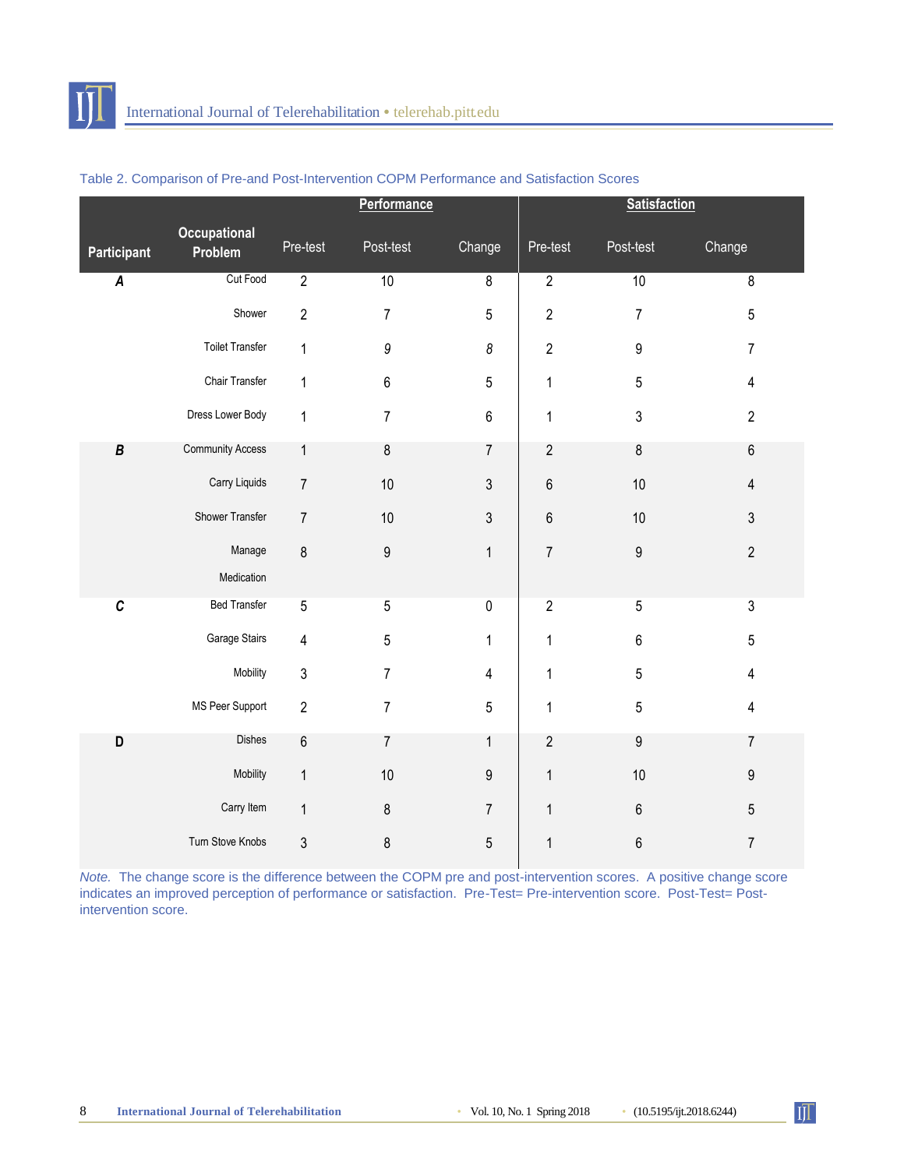|                    |                                | <b>Performance</b> |                  |                |                | <b>Satisfaction</b> |                  |
|--------------------|--------------------------------|--------------------|------------------|----------------|----------------|---------------------|------------------|
| Participant        | <b>Occupational</b><br>Problem | Pre-test           | Post-test        | Change         | Pre-test       | Post-test           | Change           |
| $\pmb{\mathsf{A}}$ | Cut Food                       | $\overline{2}$     | 10               | $\overline{8}$ | $\overline{2}$ | 10                  | $\overline{8}$   |
|                    | Shower                         | $\overline{2}$     | $\overline{7}$   | 5              | $\sqrt{2}$     | $\overline{7}$      | $\overline{5}$   |
|                    | <b>Toilet Transfer</b>         | 1                  | $\boldsymbol{9}$ | 8              | $\overline{2}$ | $9\,$               | $\overline{7}$   |
|                    | Chair Transfer                 | $\mathbf{1}$       | 6                | 5              | $\mathbf 1$    | $5\,$               | $\overline{4}$   |
|                    | Dress Lower Body               | 1                  | $\overline{7}$   | 6              | $\mathbf 1$    | $\mathfrak{Z}$      | $\overline{2}$   |
| $\pmb B$           | <b>Community Access</b>        | $\mathbf{1}$       | $\,8\,$          | $\overline{7}$ | $\overline{2}$ | $\,8\,$             | 6                |
|                    | Carry Liquids                  | $\overline{7}$     | 10               | 3              | $\,6\,$        | 10                  | 4                |
|                    | Shower Transfer                | $\overline{7}$     | 10               | 3              | $\,6\,$        | 10                  | $\mathsf 3$      |
|                    | Manage                         | $\bf 8$            | $\boldsymbol{9}$ | $\mathbf 1$    | $\overline{7}$ | $\boldsymbol{9}$    | $\overline{2}$   |
|                    | Medication                     |                    |                  |                |                |                     |                  |
| $\pmb{C}$          | <b>Bed Transfer</b>            | $\overline{5}$     | 5                | 0              | $\overline{2}$ | $\overline{5}$      | $\overline{3}$   |
|                    | Garage Stairs                  | $\overline{4}$     | 5                | 1              | $\mathbf 1$    | $\,6\,$             | $\overline{5}$   |
|                    | Mobility                       | $\mathfrak{Z}$     | $\overline{7}$   | 4              | $\mathbf 1$    | $5\,$               | 4                |
|                    | MS Peer Support                | $\overline{2}$     | $\overline{7}$   | 5              | $\mathbf 1$    | $\sqrt{5}$          | 4                |
| D                  | <b>Dishes</b>                  | $6\phantom{a}$     | $\overline{7}$   | $\mathbf{1}$   | $\overline{2}$ | 9                   | $\overline{7}$   |
|                    | Mobility                       | $\mathbf{1}$       | 10               | 9              | $\mathbf{1}$   | 10                  | $\boldsymbol{9}$ |
|                    | Carry Item                     | $\mathbf{1}$       | 8                | 7              | 1              | $6\phantom{1}$      | $\sqrt{5}$       |
|                    | Turn Stove Knobs               | 3                  | $\,8\,$          | 5              | $\mathbf{1}$   | $\,6\,$             | $\overline{7}$   |

### Table 2. Comparison of Pre-and Post-Intervention COPM Performance and Satisfaction Scores

*Note.* The change score is the difference between the COPM pre and post-intervention scores. A positive change score indicates an improved perception of performance or satisfaction. Pre-Test= Pre-intervention score. Post-Test= Postintervention score.

 $\prod$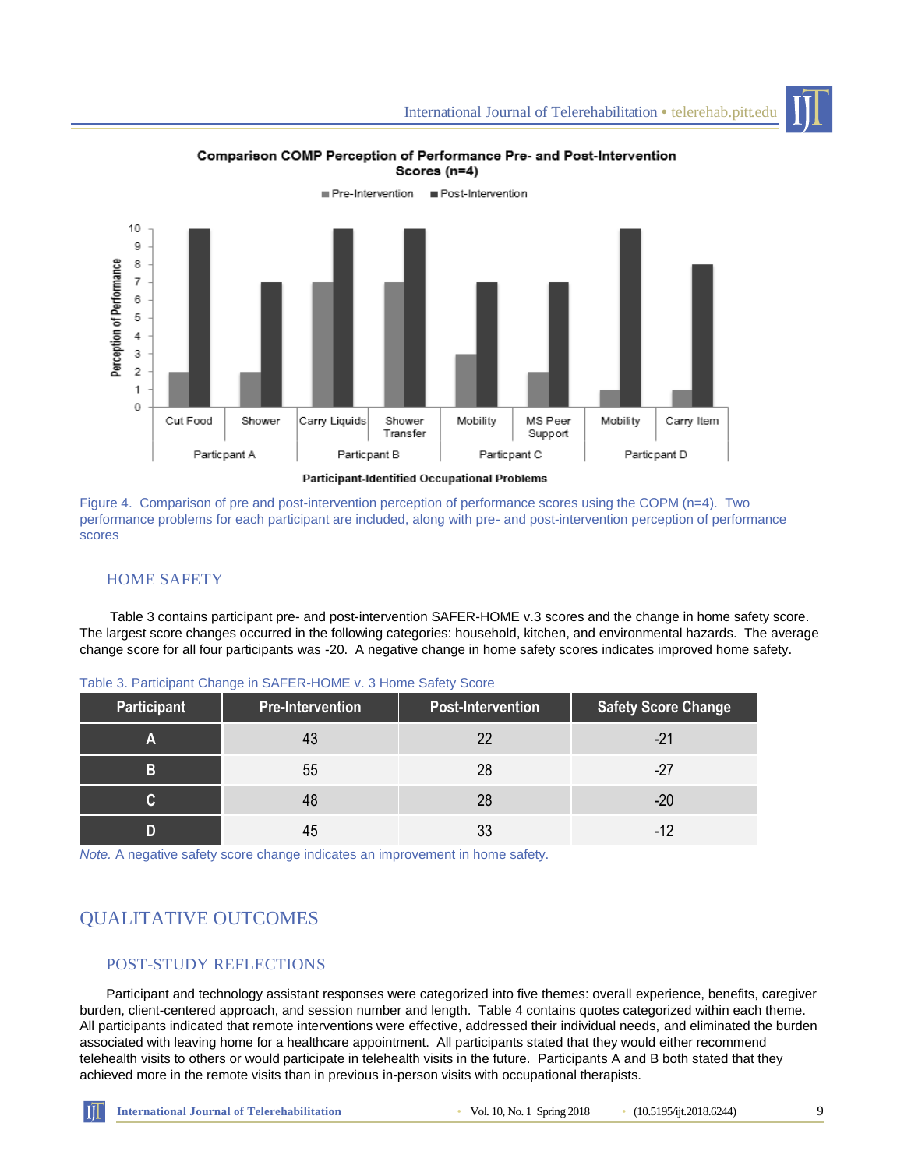

#### Comparison COMP Perception of Performance Pre- and Post-Intervention Scores (n=4)

Pre-Intervention Post-Intervention



Figure 4. Comparison of pre and post-intervention perception of performance scores using the COPM (n=4). Two performance problems for each participant are included, along with pre- and post-intervention perception of performance scores

### HOME SAFETY

Table 3 contains participant pre- and post-intervention SAFER-HOME v.3 scores and the change in home safety score. The largest score changes occurred in the following categories: household, kitchen, and environmental hazards. The average change score for all four participants was -20. A negative change in home safety scores indicates improved home safety.

| Participant | <b>Pre-Intervention</b> | <b>Post-Intervention</b> | <b>Safety Score Change</b> |
|-------------|-------------------------|--------------------------|----------------------------|
|             |                         | 22                       | $-21$                      |
| В           | 55                      | 28                       | -27                        |
|             | 48                      | 28                       | -20                        |
|             |                         | 33                       | $-1^\circ$                 |

#### Table 3. Participant Change in SAFER-HOME v. 3 Home Safety Score

*Note.* A negative safety score change indicates an improvement in home safety.

# QUALITATIVE OUTCOMES

### POST-STUDY REFLECTIONS

Participant and technology assistant responses were categorized into five themes: overall experience, benefits, caregiver burden, client-centered approach, and session number and length. Table 4 contains quotes categorized within each theme. All participants indicated that remote interventions were effective, addressed their individual needs, and eliminated the burden associated with leaving home for a healthcare appointment. All participants stated that they would either recommend telehealth visits to others or would participate in telehealth visits in the future. Participants A and B both stated that they achieved more in the remote visits than in previous in-person visits with occupational therapists.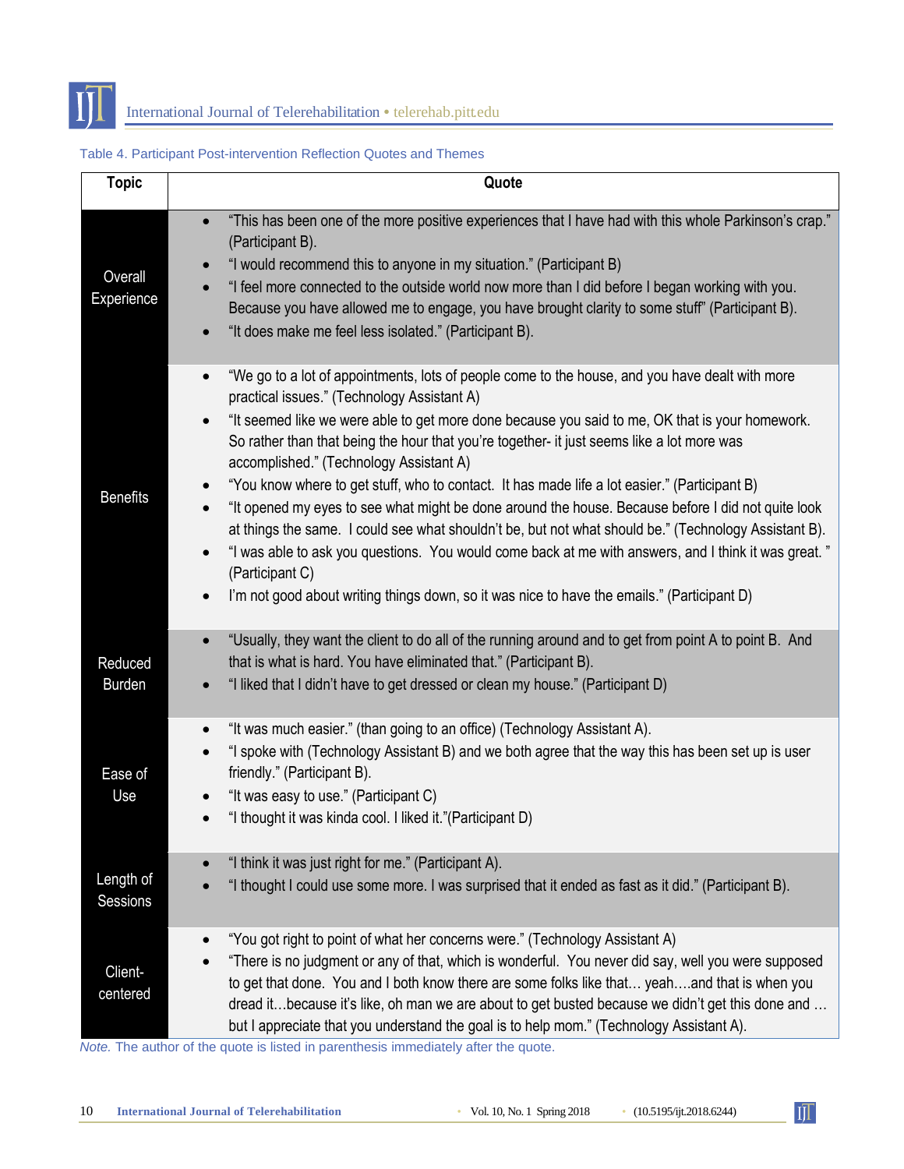

International Journal of Telerehabilitation **•** telerehab.pitt.edu

### Table 4. Participant Post-intervention Reflection Quotes and Themes

| <b>Topic</b>             | Quote                                                                                                                                                                                                                                                                                                                                                                                                                                                                                                                                                                                                                                                                                                                                                                                                                                                                                                                                                                                    |
|--------------------------|------------------------------------------------------------------------------------------------------------------------------------------------------------------------------------------------------------------------------------------------------------------------------------------------------------------------------------------------------------------------------------------------------------------------------------------------------------------------------------------------------------------------------------------------------------------------------------------------------------------------------------------------------------------------------------------------------------------------------------------------------------------------------------------------------------------------------------------------------------------------------------------------------------------------------------------------------------------------------------------|
| Overall<br>Experience    | "This has been one of the more positive experiences that I have had with this whole Parkinson's crap."<br>(Participant B).<br>"I would recommend this to anyone in my situation." (Participant B)<br>"I feel more connected to the outside world now more than I did before I began working with you.<br>Because you have allowed me to engage, you have brought clarity to some stuff" (Participant B).<br>"It does make me feel less isolated." (Participant B).                                                                                                                                                                                                                                                                                                                                                                                                                                                                                                                       |
| <b>Benefits</b>          | "We go to a lot of appointments, lots of people come to the house, and you have dealt with more<br>$\bullet$<br>practical issues." (Technology Assistant A)<br>"It seemed like we were able to get more done because you said to me, OK that is your homework.<br>$\bullet$<br>So rather than that being the hour that you're together- it just seems like a lot more was<br>accomplished." (Technology Assistant A)<br>"You know where to get stuff, who to contact. It has made life a lot easier." (Participant B)<br>"It opened my eyes to see what might be done around the house. Because before I did not quite look<br>$\bullet$<br>at things the same. I could see what shouldn't be, but not what should be." (Technology Assistant B).<br>"I was able to ask you questions. You would come back at me with answers, and I think it was great."<br>$\bullet$<br>(Participant C)<br>I'm not good about writing things down, so it was nice to have the emails." (Participant D) |
| Reduced<br><b>Burden</b> | "Usually, they want the client to do all of the running around and to get from point A to point B. And<br>$\bullet$<br>that is what is hard. You have eliminated that." (Participant B).<br>"I liked that I didn't have to get dressed or clean my house." (Participant D)                                                                                                                                                                                                                                                                                                                                                                                                                                                                                                                                                                                                                                                                                                               |
| Ease of<br>Use           | "It was much easier." (than going to an office) (Technology Assistant A).<br>$\bullet$<br>"I spoke with (Technology Assistant B) and we both agree that the way this has been set up is user<br>$\bullet$<br>friendly." (Participant B).<br>"It was easy to use." (Participant C)<br>"I thought it was kinda cool. I liked it."(Participant D)<br>$\bullet$                                                                                                                                                                                                                                                                                                                                                                                                                                                                                                                                                                                                                              |
| Length of<br>Sessions    | "I think it was just right for me." (Participant A).<br>"I thought I could use some more. I was surprised that it ended as fast as it did." (Participant B).                                                                                                                                                                                                                                                                                                                                                                                                                                                                                                                                                                                                                                                                                                                                                                                                                             |
| Client-<br>centered      | "You got right to point of what her concerns were." (Technology Assistant A)<br>"There is no judgment or any of that, which is wonderful. You never did say, well you were supposed<br>to get that done. You and I both know there are some folks like that yeahand that is when you<br>dread itbecause it's like, oh man we are about to get busted because we didn't get this done and<br>but I appreciate that you understand the goal is to help mom." (Technology Assistant A).                                                                                                                                                                                                                                                                                                                                                                                                                                                                                                     |

*Note.* The author of the quote is listed in parenthesis immediately after the quote.

 $\prod$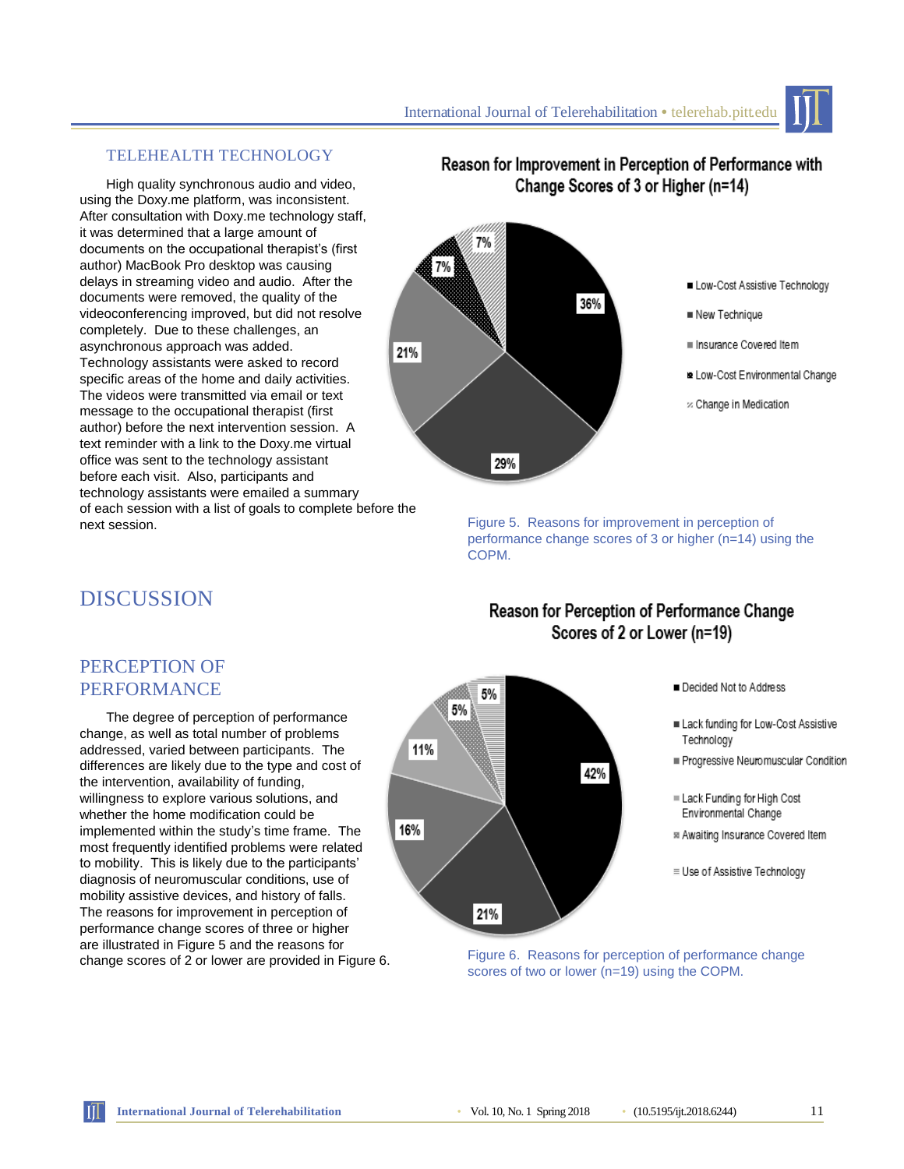

### TELEHEALTH TECHNOLOGY

High quality synchronous audio and video, using the Doxy.me platform, was inconsistent. After consultation with Doxy.me technology staff, it was determined that a large amount of documents on the occupational therapist's (first author) MacBook Pro desktop was causing delays in streaming video and audio. After the documents were removed, the quality of the videoconferencing improved, but did not resolve completely. Due to these challenges, an asynchronous approach was added. Technology assistants were asked to record specific areas of the home and daily activities. The videos were transmitted via email or text message to the occupational therapist (first author) before the next intervention session. A text reminder with a link to the Doxy.me virtual office was sent to the technology assistant before each visit. Also, participants and technology assistants were emailed a summary of each session with a list of goals to complete before the next session.

# Reason for Improvement in Perception of Performance with Change Scores of 3 or Higher (n=14)



Figure 5.Reasons for improvement in perception of performance change scores of 3 or higher (n=14) using the COPM.

# DISCUSSION

# PERCEPTION OF PERFORMANCE

The degree of perception of performance change, as well as total number of problems addressed, varied between participants. The differences are likely due to the type and cost of the intervention, availability of funding, willingness to explore various solutions, and whether the home modification could be implemented within the study's time frame. The most frequently identified problems were related to mobility. This is likely due to the participants' diagnosis of neuromuscular conditions, use of mobility assistive devices, and history of falls. The reasons for improvement in perception of performance change scores of three or higher are illustrated in Figure 5 and the reasons for change scores of 2 or lower are provided in Figure 6.

# Reason for Perception of Performance Change Scores of 2 or Lower (n=19)

Decided Not to Address 5% 5% Lack funding for Low-Cost Assistive Technology 11% Progressive Neuromuscular Condition 42% = Lack Funding for High Cost Environmental Change 16% m Awaiting Insurance Covered Item ≡ Use of Assistive Technology 21%

> Figure 6. Reasons for perception of performance change scores of two or lower (n=19) using the COPM.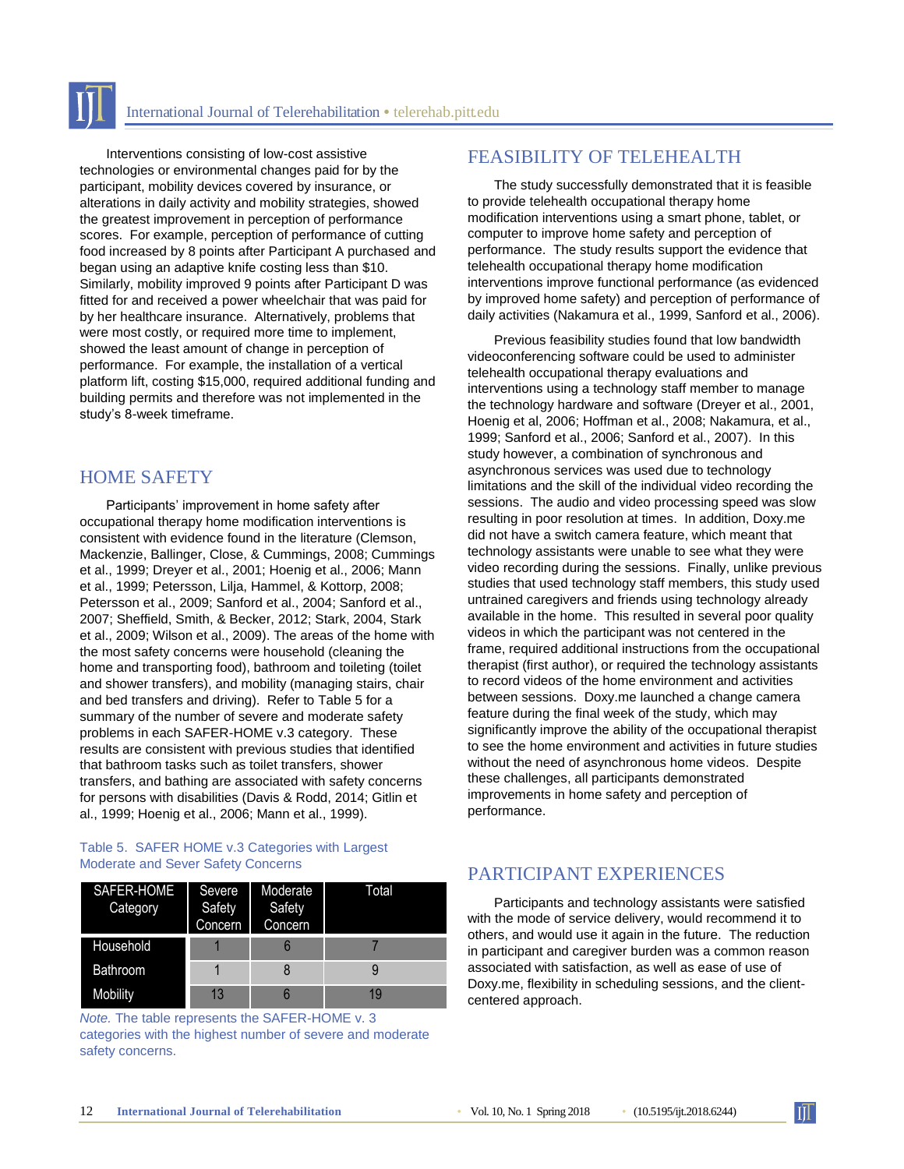Interventions consisting of low-cost assistive technologies or environmental changes paid for by the participant, mobility devices covered by insurance, or alterations in daily activity and mobility strategies, showed the greatest improvement in perception of performance scores. For example, perception of performance of cutting food increased by 8 points after Participant A purchased and began using an adaptive knife costing less than \$10. Similarly, mobility improved 9 points after Participant D was fitted for and received a power wheelchair that was paid for by her healthcare insurance. Alternatively, problems that were most costly, or required more time to implement, showed the least amount of change in perception of performance. For example, the installation of a vertical platform lift, costing \$15,000, required additional funding and building permits and therefore was not implemented in the study's 8-week timeframe.

### HOME SAFETY

Participants' improvement in home safety after occupational therapy home modification interventions is consistent with evidence found in the literature (Clemson, Mackenzie, Ballinger, Close, & Cummings, 2008; Cummings et al., 1999; Dreyer et al., 2001; Hoenig et al., 2006; Mann et al., 1999; Petersson, Lilja, Hammel, & Kottorp, 2008; Petersson et al., 2009; Sanford et al., 2004; Sanford et al., 2007; Sheffield, Smith, & Becker, 2012; Stark, 2004, Stark et al., 2009; Wilson et al., 2009). The areas of the home with the most safety concerns were household (cleaning the home and transporting food), bathroom and toileting (toilet and shower transfers), and mobility (managing stairs, chair and bed transfers and driving). Refer to Table 5 for a summary of the number of severe and moderate safety problems in each SAFER-HOME v.3 category. These results are consistent with previous studies that identified that bathroom tasks such as toilet transfers, shower transfers, and bathing are associated with safety concerns for persons with disabilities (Davis & Rodd, 2014; Gitlin et al., 1999; Hoenig et al., 2006; Mann et al., 1999).

#### Table 5. SAFER HOME v.3 Categories with Largest Moderate and Sever Safety Concerns

| SAFER-HOME<br>Category | Severe<br>Safety<br>Concern | Moderate<br>Safety<br>Concern | Total |
|------------------------|-----------------------------|-------------------------------|-------|
| Household              |                             |                               |       |
| <b>Bathroom</b>        |                             |                               |       |
| Mobility               | 13                          |                               |       |

*Note.* The table represents the SAFER-HOME v. 3 categories with the highest number of severe and moderate safety concerns.

### FEASIBILITY OF TELEHEALTH

The study successfully demonstrated that it is feasible to provide telehealth occupational therapy home modification interventions using a smart phone, tablet, or computer to improve home safety and perception of performance. The study results support the evidence that telehealth occupational therapy home modification interventions improve functional performance (as evidenced by improved home safety) and perception of performance of daily activities (Nakamura et al., 1999, Sanford et al., 2006).

Previous feasibility studies found that low bandwidth videoconferencing software could be used to administer telehealth occupational therapy evaluations and interventions using a technology staff member to manage the technology hardware and software (Dreyer et al., 2001, Hoenig et al, 2006; Hoffman et al., 2008; Nakamura, et al., 1999; Sanford et al., 2006; Sanford et al., 2007). In this study however, a combination of synchronous and asynchronous services was used due to technology limitations and the skill of the individual video recording the sessions. The audio and video processing speed was slow resulting in poor resolution at times. In addition, Doxy.me did not have a switch camera feature, which meant that technology assistants were unable to see what they were video recording during the sessions. Finally, unlike previous studies that used technology staff members, this study used untrained caregivers and friends using technology already available in the home. This resulted in several poor quality videos in which the participant was not centered in the frame, required additional instructions from the occupational therapist (first author), or required the technology assistants to record videos of the home environment and activities between sessions. Doxy.me launched a change camera feature during the final week of the study, which may significantly improve the ability of the occupational therapist to see the home environment and activities in future studies without the need of asynchronous home videos. Despite these challenges, all participants demonstrated improvements in home safety and perception of performance.

### PARTICIPANT EXPERIENCES

Participants and technology assistants were satisfied with the mode of service delivery, would recommend it to others, and would use it again in the future. The reduction in participant and caregiver burden was a common reason associated with satisfaction, as well as ease of use of Doxy.me, flexibility in scheduling sessions, and the clientcentered approach.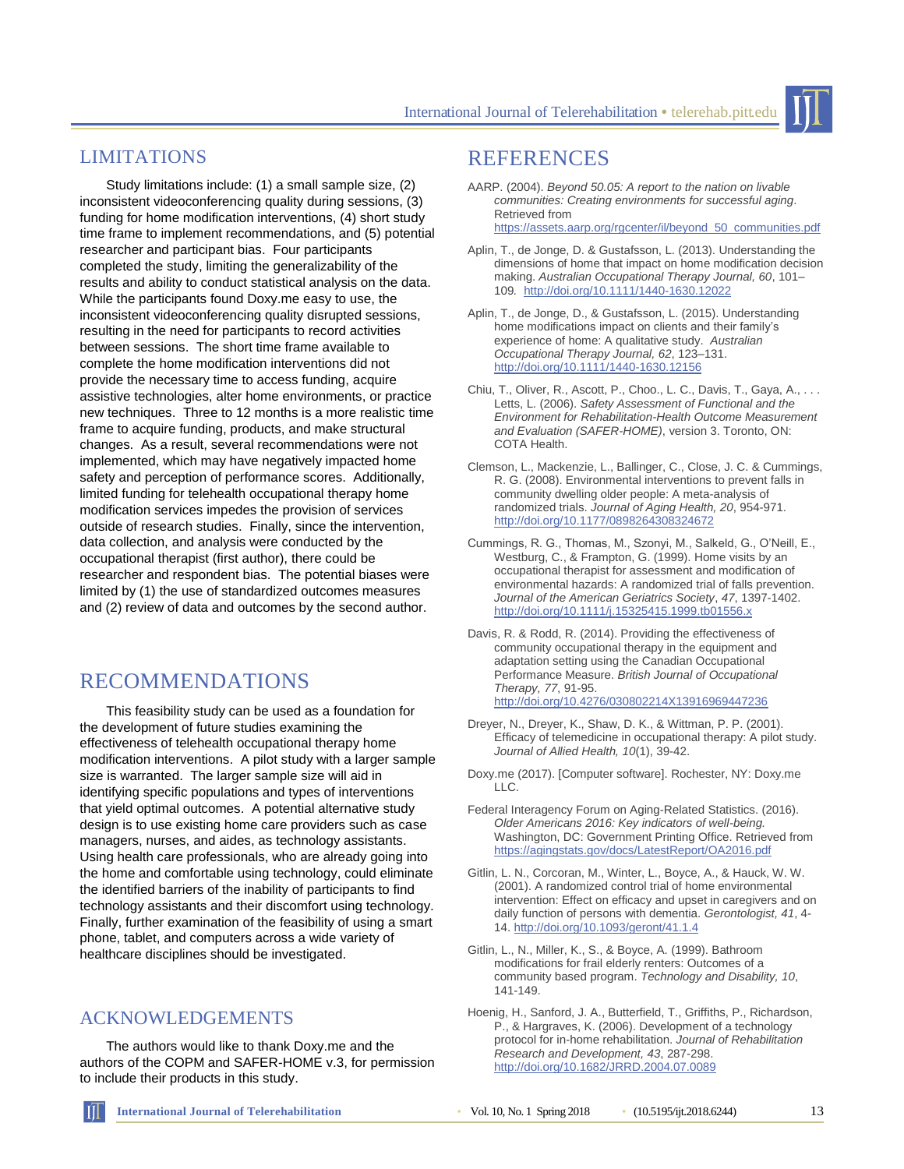

# LIMITATIONS

Study limitations include: (1) a small sample size, (2) inconsistent videoconferencing quality during sessions, (3) funding for home modification interventions, (4) short study time frame to implement recommendations, and (5) potential researcher and participant bias. Four participants completed the study, limiting the generalizability of the results and ability to conduct statistical analysis on the data. While the participants found Doxy.me easy to use, the inconsistent videoconferencing quality disrupted sessions, resulting in the need for participants to record activities between sessions. The short time frame available to complete the home modification interventions did not provide the necessary time to access funding, acquire assistive technologies, alter home environments, or practice new techniques. Three to 12 months is a more realistic time frame to acquire funding, products, and make structural changes. As a result, several recommendations were not implemented, which may have negatively impacted home safety and perception of performance scores. Additionally, limited funding for telehealth occupational therapy home modification services impedes the provision of services outside of research studies. Finally, since the intervention, data collection, and analysis were conducted by the occupational therapist (first author), there could be researcher and respondent bias. The potential biases were limited by (1) the use of standardized outcomes measures and (2) review of data and outcomes by the second author.

# RECOMMENDATIONS

This feasibility study can be used as a foundation for the development of future studies examining the effectiveness of telehealth occupational therapy home modification interventions. A pilot study with a larger sample size is warranted. The larger sample size will aid in identifying specific populations and types of interventions that yield optimal outcomes. A potential alternative study design is to use existing home care providers such as case managers, nurses, and aides, as technology assistants. Using health care professionals, who are already going into the home and comfortable using technology, could eliminate the identified barriers of the inability of participants to find technology assistants and their discomfort using technology. Finally, further examination of the feasibility of using a smart phone, tablet, and computers across a wide variety of healthcare disciplines should be investigated.

# ACKNOWLEDGEMENTS

Ш

The authors would like to thank Doxy.me and the authors of the COPM and SAFER-HOME v.3, for permission to include their products in this study.

# **REFERENCES**

- Aplin, T., de Jonge, D. & Gustafsson, L. (2013). Understanding the dimensions of home that impact on home modification decision making. *Australian Occupational Therapy Journal, 60*, 101– 109*.* <http://doi.org/10.1111/1440-1630.12022>
- Aplin, T., de Jonge, D., & Gustafsson, L. (2015). Understanding home modifications impact on clients and their family's experience of home: A qualitative study. *Australian Occupational Therapy Journal, 62*, 123–131. <http://doi.org/10.1111/1440-1630.12156>
- Chiu, T., Oliver, R., Ascott, P., Choo., L. C., Davis, T., Gaya, A., . . . Letts, L. (2006). *Safety Assessment of Functional and the Environment for Rehabilitation-Health Outcome Measurement and Evaluation (SAFER-HOME)*, version 3. Toronto, ON: COTA Health.
- Clemson, L., Mackenzie, L., Ballinger, C., Close, J. C. & Cummings, R. G. (2008). Environmental interventions to prevent falls in community dwelling older people: A meta-analysis of randomized trials. *Journal of Aging Health, 20*, 954-971. <http://doi.org/10.1177/0898264308324672>
- Cummings, R. G., Thomas, M., Szonyi, M., Salkeld, G., O'Neill, E., Westburg, C., & Frampton, G. (1999). Home visits by an occupational therapist for assessment and modification of environmental hazards: A randomized trial of falls prevention. *Journal of the American Geriatrics Society*, *47*, 1397-1402. <http://doi.org/10.1111/j.15325415.1999.tb01556.x>
- Davis, R. & Rodd, R. (2014). Providing the effectiveness of community occupational therapy in the equipment and adaptation setting using the Canadian Occupational Performance Measure. *British Journal of Occupational Therapy, 77*, 91-95. <http://doi.org/10.4276/030802214X13916969447236>
- Dreyer, N., Dreyer, K., Shaw, D. K., & Wittman, P. P. (2001). Efficacy of telemedicine in occupational therapy: A pilot study. *Journal of Allied Health, 10*(1), 39-42.
- Doxy.me (2017). [Computer software]. Rochester, NY: Doxy.me  $\sqcup$  C.
- Federal Interagency Forum on Aging-Related Statistics. (2016). *Older Americans 2016: Key indicators of well-being.* Washington, DC: Government Printing Office. Retrieved from <https://agingstats.gov/docs/LatestReport/OA2016.pdf>
- Gitlin, L. N., Corcoran, M., Winter, L., Boyce, A., & Hauck, W. W. (2001). A randomized control trial of home environmental intervention: Effect on efficacy and upset in caregivers and on daily function of persons with dementia. *Gerontologist, 41*, 4- 14.<http://doi.org/10.1093/geront/41.1.4>
- Gitlin, L., N., Miller, K., S., & Boyce, A. (1999). Bathroom modifications for frail elderly renters: Outcomes of a community based program. *Technology and Disability, 10*, 141-149.
- Hoenig, H., Sanford, J. A., Butterfield, T., Griffiths, P., Richardson, P., & Hargraves, K. (2006). Development of a technology protocol for in-home rehabilitation. *Journal of Rehabilitation Research and Development, 43*, 287-298. <http://doi.org/10.1682/JRRD.2004.07.0089>

**International Journal of Telerehabilitation** • Vol. 10, No. 1 Spring 2018 • (10.5195/ijt.2018.6244) 13

AARP. (2004). *Beyond 50.05: A report to the nation on livable communities: Creating environments for successful aging*. Retrieved from [https://assets.aarp.org/rgcenter/il/beyond\\_50\\_communities.pdf](https://assets.aarp.org/rgcenter/il/beyond_50_communities.pdf)